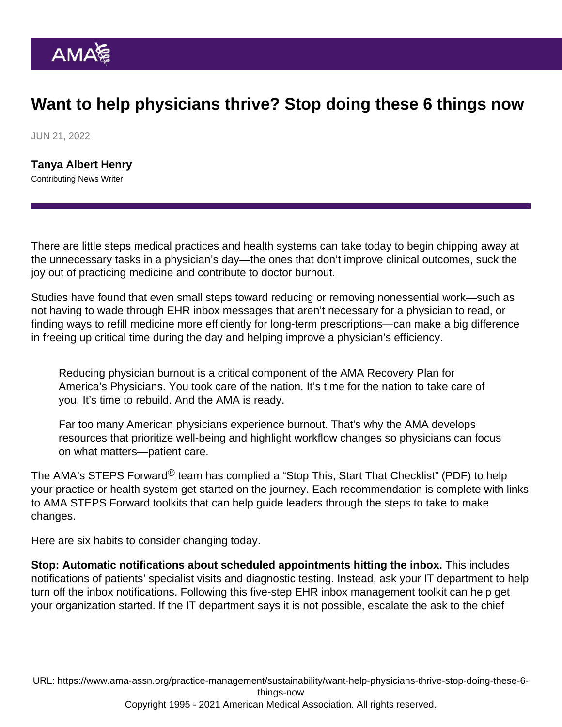## Want to help physicians thrive? Stop doing these 6 things now

JUN 21, 2022

[Tanya Albert Henry](https://www.ama-assn.org/news-leadership-viewpoints/authors-news-leadership-viewpoints/tanya-albert-henry) Contributing News Writer

There are little steps medical practices and health systems can take today to begin chipping away at the unnecessary tasks in a physician's day—the ones that don't improve clinical outcomes, suck the joy out of practicing medicine and contribute to doctor burnout.

Studies have found that even small steps toward reducing or removing nonessential work—such as not having to wade through EHR inbox messages that aren't necessary for a physician to read, or finding ways to refill medicine more efficiently for long-term prescriptions—can make a big difference in freeing up critical time during the day and helping improve a physician's efficiency.

Reducing physician burnout is a critical component of the [AMA Recovery Plan for](https://www.ama-assn.org/amaone/ama-recovery-plan-america-s-physicians) [America's Physicians](https://www.ama-assn.org/amaone/ama-recovery-plan-america-s-physicians). You took care of the nation. It's time for the nation to take care of you. It's time to rebuild. And the AMA is ready.

Far too many American physicians experience burnout. That's why the [AMA develops](https://www.ama-assn.org/practice-management/physician-health/equipping-physicians-manage-burnout-and-maintain-wellness) [resources that prioritize well-being and highlight workflow changes](https://www.ama-assn.org/practice-management/physician-health/equipping-physicians-manage-burnout-and-maintain-wellness) so physicians can focus on what matters—patient care.

The [AMA's STEPS Forward](https://edhub.ama-assn.org/steps-forward)<sup>®</sup> team has complied a "[Stop This, Start That Checklist](https://www.ama-assn.org/system/files/ama-steps-forward-stop-this-start-that-checklist.pdf)" (PDF) to help your practice or health system get started on the journey. Each recommendation is complete with links to AMA STEPS Forward toolkits that can help guide leaders through the steps to take to make changes.

Here are six habits to consider changing today.

Stop: Automatic notifications about scheduled appointments hitting the inbox. This includes notifications of patients' specialist visits and diagnostic testing. Instead, ask your IT department to help turn off the inbox notifications. Following this five-step [EHR inbox management toolkit](https://edhub.ama-assn.org/steps-forward/module/2702694) can help get your organization started. If the IT department says it is not possible, escalate the ask to the chief

URL: [https://www.ama-assn.org/practice-management/sustainability/want-help-physicians-thrive-stop-doing-these-6](https://www.ama-assn.org/practice-management/sustainability/want-help-physicians-thrive-stop-doing-these-6-things-now) [things-now](https://www.ama-assn.org/practice-management/sustainability/want-help-physicians-thrive-stop-doing-these-6-things-now) Copyright 1995 - 2021 American Medical Association. All rights reserved.